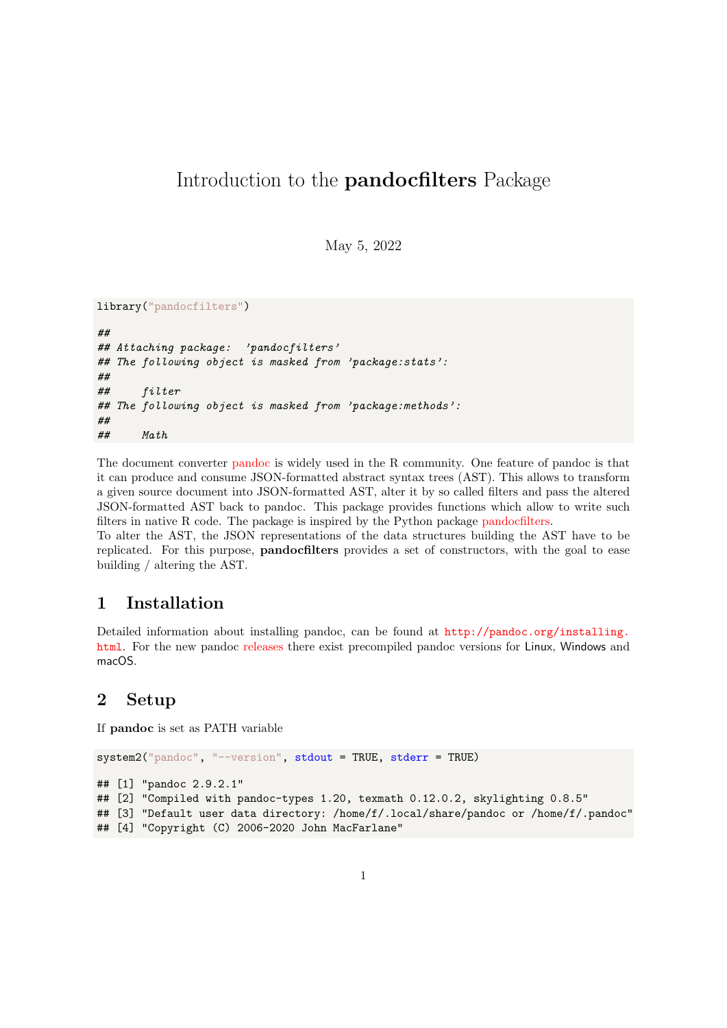# Introduction to the pandocfilters Package

May 5, 2022

```
library("pandocfilters")
##
## Attaching package: 'pandocfilters'
## The following object is masked from 'package:stats':
##
## filter
## The following object is masked from 'package:methods':
##
## Math
```
The document converter [pandoc](https://pandoc.org/) is widely used in the R community. One feature of pandoc is that it can produce and consume JSON-formatted abstract syntax trees (AST). This allows to transform a given source document into JSON-formatted AST, alter it by so called filters and pass the altered JSON-formatted AST back to pandoc. This package provides functions which allow to write such filters in native R code. The package is inspired by the Python package [pandocfilters.](https://github.com/jgm/pandocfilters/)

To alter the AST, the JSON representations of the data structures building the AST have to be replicated. For this purpose, pandocfilters provides a set of constructors, with the goal to ease building / altering the AST.

## 1 Installation

Detailed information about installing pandoc, can be found at [http://pandoc.org/installing.](http://pandoc.org/installing.html) [html](http://pandoc.org/installing.html). For the new pandoc [releases](https://github.com/jgm/pandoc/releases) there exist precompiled pandoc versions for Linux, Windows and macOS.

## 2 Setup

If pandoc is set as PATH variable

```
system2("pandoc", "--version", stdout = TRUE, stderr = TRUE)
## [1] "pandoc 2.9.2.1"
## [2] "Compiled with pandoc-types 1.20, texmath 0.12.0.2, skylighting 0.8.5"
## [3] "Default user data directory: /home/f/.local/share/pandoc or /home/f/.pandoc"
## [4] "Copyright (C) 2006-2020 John MacFarlane"
```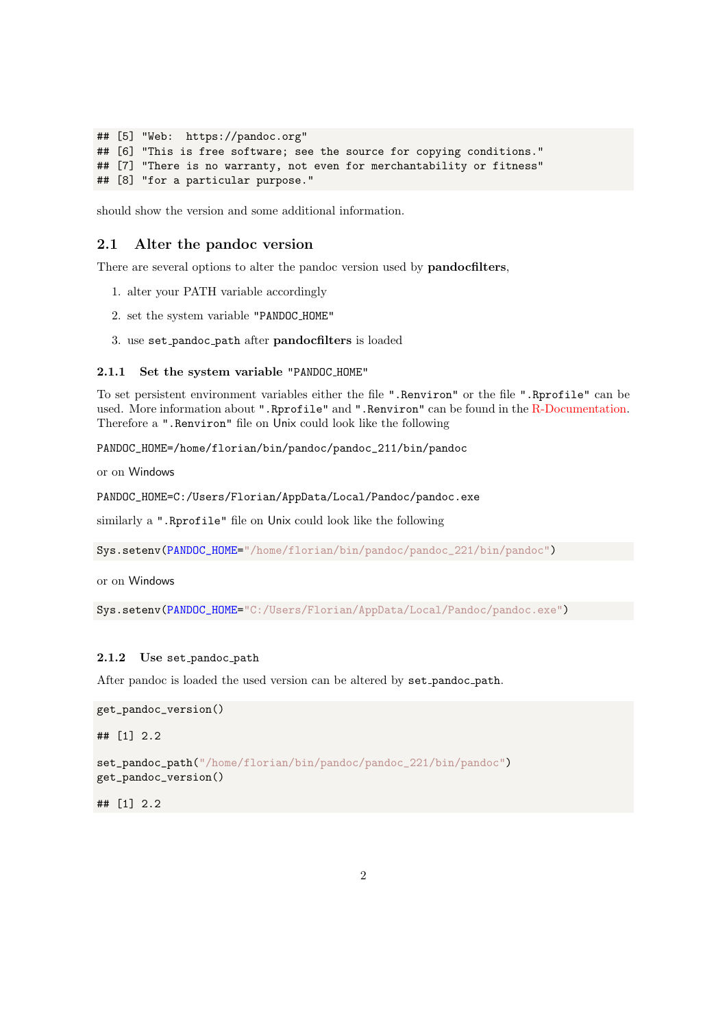```
## [5] "Web: https://pandoc.org"
## [6] "This is free software; see the source for copying conditions."
## [7] "There is no warranty, not even for merchantability or fitness"
## [8] "for a particular purpose."
```
should show the version and some additional information.

## 2.1 Alter the pandoc version

There are several options to alter the pandoc version used by **pandocfilters**,

- 1. alter your PATH variable accordingly
- 2. set the system variable "PANDOC HOME"
- 3. use set pandoc path after pandocfilters is loaded

#### 2.1.1 Set the system variable "PANDOC HOME"

To set persistent environment variables either the file ".Renviron" or the file ".Rprofile" can be used. More information about ".Rprofile" and ".Renviron" can be found in the [R-Documentation.](https://stat.ethz.ch/R-manual/R-devel/library/base/html/Startup.html) Therefore a ".Renviron" file on Unix could look like the following

PANDOC\_HOME=/home/florian/bin/pandoc/pandoc\_211/bin/pandoc

or on Windows

PANDOC\_HOME=C:/Users/Florian/AppData/Local/Pandoc/pandoc.exe

similarly a ".Rprofile" file on Unix could look like the following

Sys.setenv(PANDOC\_HOME="/home/florian/bin/pandoc/pandoc\_221/bin/pandoc")

or on Windows

Sys.setenv(PANDOC\_HOME="C:/Users/Florian/AppData/Local/Pandoc/pandoc.exe")

#### 2.1.2 Use set\_pandoc\_path

After pandoc is loaded the used version can be altered by set pandoc path.

```
get_pandoc_version()
```
## [1] 2.2

set\_pandoc\_path("/home/florian/bin/pandoc/pandoc\_221/bin/pandoc") get\_pandoc\_version()

## [1] 2.2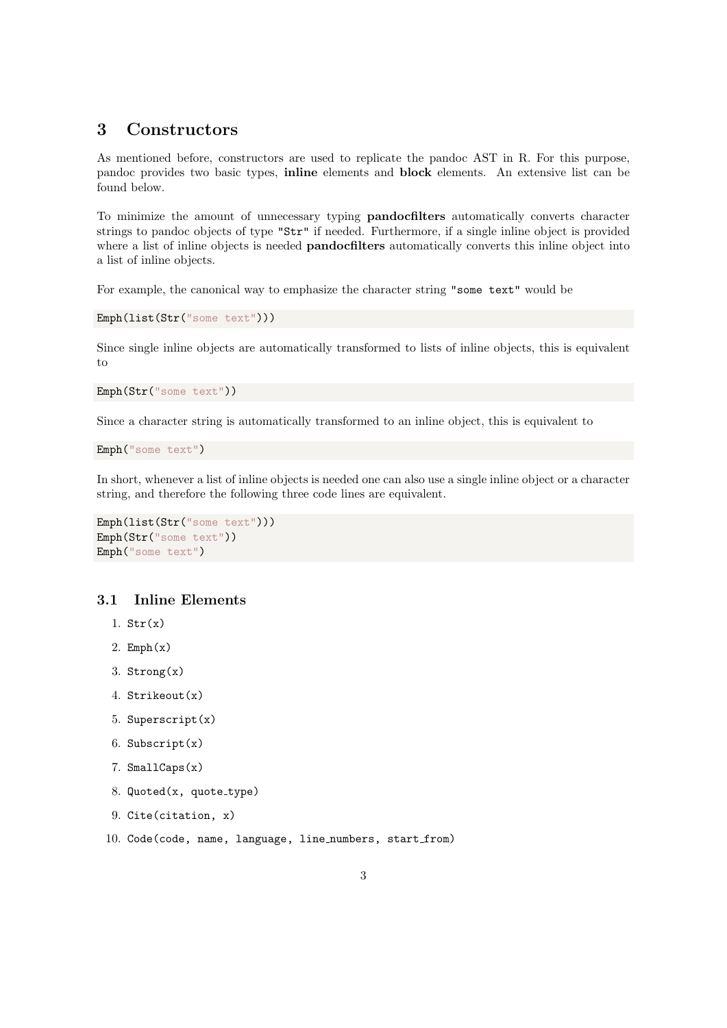# 3 Constructors

As mentioned before, constructors are used to replicate the pandoc AST in R. For this purpose, pandoc provides two basic types, inline elements and block elements. An extensive list can be found below.

To minimize the amount of unnecessary typing pandocfilters automatically converts character strings to pandoc objects of type "Str" if needed. Furthermore, if a single inline object is provided where a list of inline objects is needed **pandocfilters** automatically converts this inline object into a list of inline objects.

For example, the canonical way to emphasize the character string "some text" would be

```
Emph(list(Str("some text")))
```
Since single inline objects are automatically transformed to lists of inline objects, this is equivalent to

```
Emph(Str("some text"))
```
Since a character string is automatically transformed to an inline object, this is equivalent to

```
Emph("some text")
```
In short, whenever a list of inline objects is needed one can also use a single inline object or a character string, and therefore the following three code lines are equivalent.

```
Emph(list(Str("some text")))
Emph(Str("some text"))
Emph("some text")
```
## 3.1 Inline Elements

- 1.  $Str(x)$
- 2.  $Emph(x)$
- 3.  $Strong(x)$
- 4. Strikeout(x)
- 5. Superscript(x)
- 6. Subscript(x)
- 7. SmallCaps(x)
- $8.$  Quoted(x, quote\_type)
- 9. Cite(citation, x)
- 10. Code(code, name, language, line numbers, start from)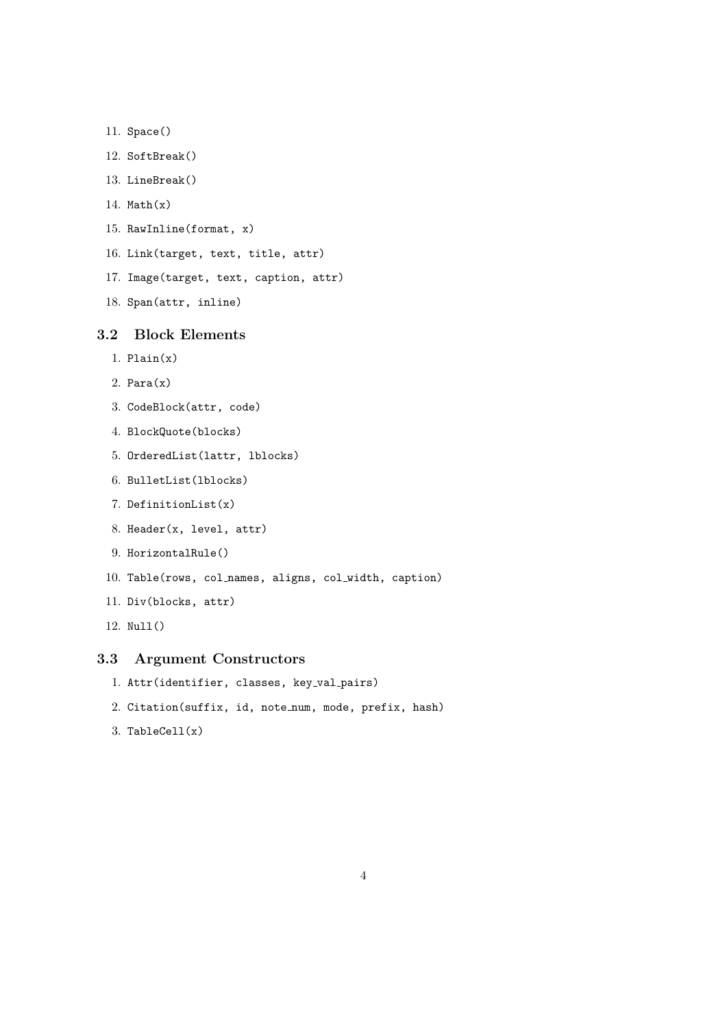```
11. Space()
```

```
12. SoftBreak()
```

```
13. LineBreak()
```
- 14. Math $(x)$
- 15. RawInline(format, x)
- 16. Link(target, text, title, attr)
- 17. Image(target, text, caption, attr)
- 18. Span(attr, inline)

## 3.2 Block Elements

- 1.  $Plain(x)$
- 2.  $Para(x)$
- 3. CodeBlock(attr, code)
- 4. BlockQuote(blocks)
- 5. OrderedList(lattr, lblocks)
- 6. BulletList(lblocks)
- 7. DefinitionList(x)
- 8. Header(x, level, attr)
- 9. HorizontalRule()
- 10. Table(rows, col names, aligns, col width, caption)
- 11. Div(blocks, attr)
- 12. Null()

## 3.3 Argument Constructors

```
1. Attr(identifier, classes, key val pairs)
```
- 2. Citation(suffix, id, note num, mode, prefix, hash)
- $3.$  TableCell $(x)$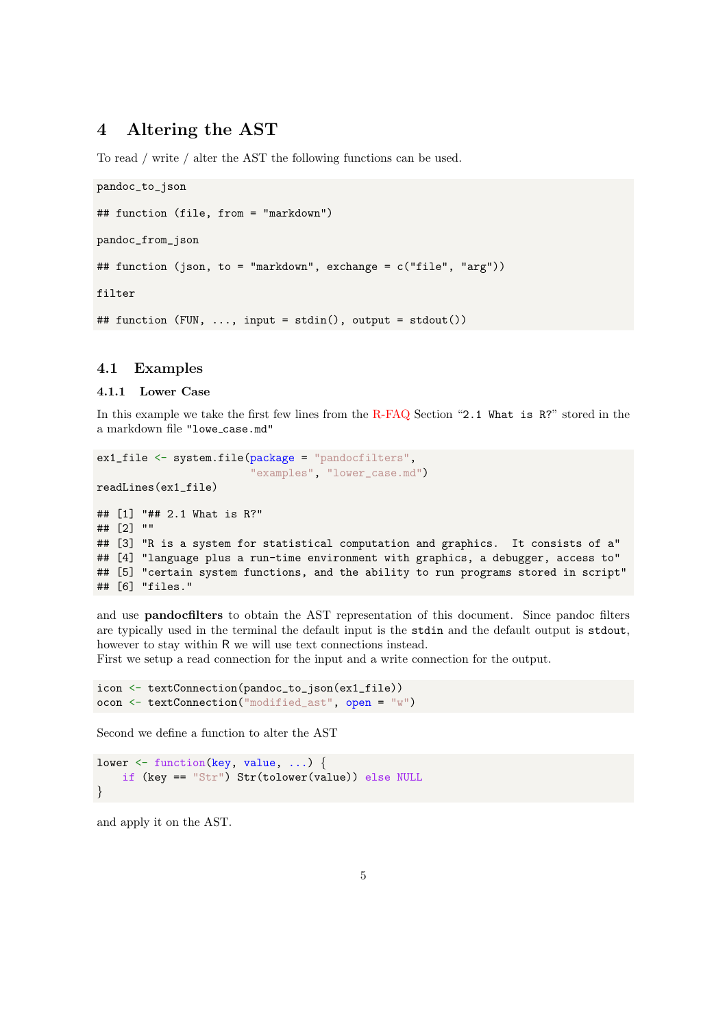## 4 Altering the AST

To read / write / alter the AST the following functions can be used.

```
pandoc_to_json
## function (file, from = "markdown")
pandoc_from_json
## function (json, to = "markdown", exchange = c("file", "arg"))
filter
## function (FUN, ..., input = stdin(), output = stdout())
```
## 4.1 Examples

#### 4.1.1 Lower Case

In this example we take the first few lines from the [R-FAQ](https://cran.r-project.org/doc/FAQ/R-FAQ) Section "2.1 What is R?" stored in the a markdown file "lowe case.md"

```
ex1_file <- system.file(package = "pandocfilters",
                        "examples", "lower_case.md")
readLines(ex1_file)
## [1] "## 2.1 What is R?"
## [2] ""
## [3] "R is a system for statistical computation and graphics. It consists of a"
## [4] "language plus a run-time environment with graphics, a debugger, access to"
## [5] "certain system functions, and the ability to run programs stored in script"
## [6] "files."
```
and use pandocfilters to obtain the AST representation of this document. Since pandoc filters are typically used in the terminal the default input is the stdin and the default output is stdout, however to stay within R we will use text connections instead.

First we setup a read connection for the input and a write connection for the output.

```
icon <- textConnection(pandoc_to_json(ex1_file))
ocon <- textConnection("modified_ast", open = "w")
```
Second we define a function to alter the AST

```
lower <- function(key, value, ...) {
    if (key == "Str") Str(tolower(value)) else NULL
}
```
and apply it on the AST.